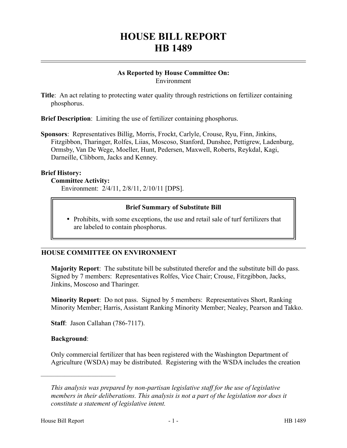# **HOUSE BILL REPORT HB 1489**

#### **As Reported by House Committee On:** Environment

**Title**: An act relating to protecting water quality through restrictions on fertilizer containing phosphorus.

**Brief Description**: Limiting the use of fertilizer containing phosphorus.

**Sponsors**: Representatives Billig, Morris, Frockt, Carlyle, Crouse, Ryu, Finn, Jinkins, Fitzgibbon, Tharinger, Rolfes, Liias, Moscoso, Stanford, Dunshee, Pettigrew, Ladenburg, Ormsby, Van De Wege, Moeller, Hunt, Pedersen, Maxwell, Roberts, Reykdal, Kagi, Darneille, Clibborn, Jacks and Kenney.

#### **Brief History:**

#### **Committee Activity:**

Environment: 2/4/11, 2/8/11, 2/10/11 [DPS].

## **Brief Summary of Substitute Bill**

• Prohibits, with some exceptions, the use and retail sale of turf fertilizers that are labeled to contain phosphorus.

## **HOUSE COMMITTEE ON ENVIRONMENT**

**Majority Report**: The substitute bill be substituted therefor and the substitute bill do pass. Signed by 7 members: Representatives Rolfes, Vice Chair; Crouse, Fitzgibbon, Jacks, Jinkins, Moscoso and Tharinger.

**Minority Report**: Do not pass. Signed by 5 members: Representatives Short, Ranking Minority Member; Harris, Assistant Ranking Minority Member; Nealey, Pearson and Takko.

**Staff**: Jason Callahan (786-7117).

## **Background**:

––––––––––––––––––––––

Only commercial fertilizer that has been registered with the Washington Department of Agriculture (WSDA) may be distributed. Registering with the WSDA includes the creation

*This analysis was prepared by non-partisan legislative staff for the use of legislative members in their deliberations. This analysis is not a part of the legislation nor does it constitute a statement of legislative intent.*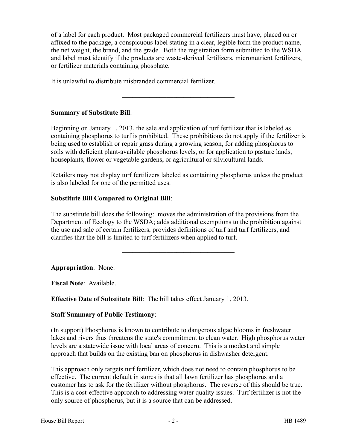of a label for each product. Most packaged commercial fertilizers must have, placed on or affixed to the package, a conspicuous label stating in a clear, legible form the product name, the net weight, the brand, and the grade. Both the registration form submitted to the WSDA and label must identify if the products are waste-derived fertilizers, micronutrient fertilizers, or fertilizer materials containing phosphate.

It is unlawful to distribute misbranded commercial fertilizer.

# **Summary of Substitute Bill**:

Beginning on January 1, 2013, the sale and application of turf fertilizer that is labeled as containing phosphorus to turf is prohibited. These prohibitions do not apply if the fertilizer is being used to establish or repair grass during a growing season, for adding phosphorus to soils with deficient plant-available phosphorus levels, or for application to pasture lands, houseplants, flower or vegetable gardens, or agricultural or silvicultural lands.

–––––––––––––––––––––––––––––––––

Retailers may not display turf fertilizers labeled as containing phosphorus unless the product is also labeled for one of the permitted uses.

# **Substitute Bill Compared to Original Bill**:

The substitute bill does the following: moves the administration of the provisions from the Department of Ecology to the WSDA; adds additional exemptions to the prohibition against the use and sale of certain fertilizers, provides definitions of turf and turf fertilizers, and clarifies that the bill is limited to turf fertilizers when applied to turf.

–––––––––––––––––––––––––––––––––

## **Appropriation**: None.

**Fiscal Note**: Available.

**Effective Date of Substitute Bill**: The bill takes effect January 1, 2013.

## **Staff Summary of Public Testimony**:

(In support) Phosphorus is known to contribute to dangerous algae blooms in freshwater lakes and rivers thus threatens the state's commitment to clean water. High phosphorus water levels are a statewide issue with local areas of concern. This is a modest and simple approach that builds on the existing ban on phosphorus in dishwasher detergent.

This approach only targets turf fertilizer, which does not need to contain phosphorus to be effective. The current default in stores is that all lawn fertilizer has phosphorus and a customer has to ask for the fertilizer without phosphorus. The reverse of this should be true. This is a cost-effective approach to addressing water quality issues. Turf fertilizer is not the only source of phosphorus, but it is a source that can be addressed.